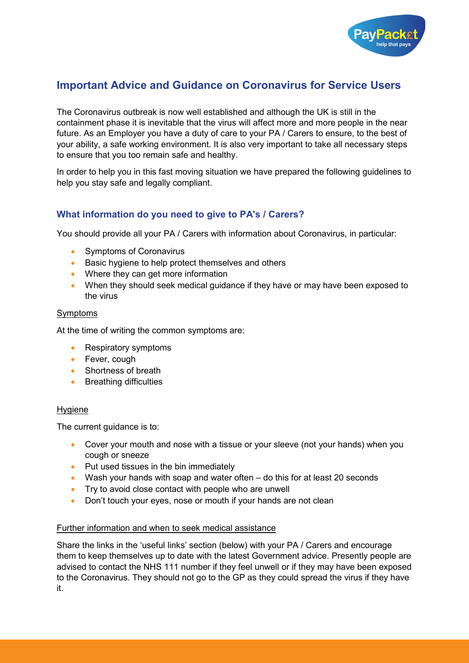

# **Important Advice and Guidance on Coronavirus for Service Users**

The Coronavirus outbreak is now well established and although the UK is still in the containment phase it is inevitable that the virus will affect more and more people in the near future. As an Employer you have a duty of care to your PA / Carers to ensure, to the best of your ability, a safe working environment. It is also very important to take all necessary steps to ensure that you too remain safe and healthy.

In order to help you in this fast moving situation we have prepared the following guidelines to help you stay safe and legally compliant.

# **What information do you need to give to PA's / Carers?**

You should provide all your PA / Carers with information about Coronavirus, in particular:

- Symptoms of Coronavirus
- Basic hygiene to help protect themselves and others
- Where they can get more information
- When they should seek medical quidance if they have or may have been exposed to the virus

#### **Symptoms**

At the time of writing the common symptoms are:

- Respiratory symptoms
- Fever, cough
- Shortness of breath
- Breathing difficulties

#### Hygiene

The current guidance is to:

- Cover your mouth and nose with a tissue or your sleeve (not your hands) when you cough or sneeze
- Put used tissues in the bin immediately
- Wash your hands with soap and water often do this for at least 20 seconds
- Try to avoid close contact with people who are unwell
- Don't touch your eyes, nose or mouth if your hands are not clean

#### Further information and when to seek medical assistance

Share the links in the 'useful links' section (below) with your PA / Carers and encourage them to keep themselves up to date with the latest Government advice. Presently people are advised to contact the NHS 111 number if they feel unwell or if they may have been exposed to the Coronavirus. They should not go to the GP as they could spread the virus if they have it.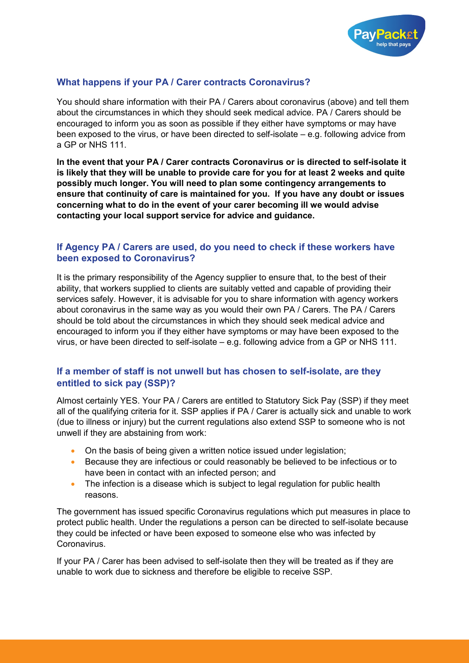

# **What happens if your PA / Carer contracts Coronavirus?**

You should share information with their PA / Carers about coronavirus (above) and tell them about the circumstances in which they should seek medical advice. PA / Carers should be encouraged to inform you as soon as possible if they either have symptoms or may have been exposed to the virus, or have been directed to self-isolate – e.g. following advice from a GP or NHS 111.

**In the event that your PA / Carer contracts Coronavirus or is directed to self-isolate it is likely that they will be unable to provide care for you for at least 2 weeks and quite possibly much longer. You will need to plan some contingency arrangements to ensure that continuity of care is maintained for you. If you have any doubt or issues concerning what to do in the event of your carer becoming ill we would advise contacting your local support service for advice and guidance.**

### **If Agency PA / Carers are used, do you need to check if these workers have been exposed to Coronavirus?**

It is the primary responsibility of the Agency supplier to ensure that, to the best of their ability, that workers supplied to clients are suitably vetted and capable of providing their services safely. However, it is advisable for you to share information with agency workers about coronavirus in the same way as you would their own PA / Carers. The PA / Carers should be told about the circumstances in which they should seek medical advice and encouraged to inform you if they either have symptoms or may have been exposed to the virus, or have been directed to self-isolate – e.g. following advice from a GP or NHS 111.

### **If a member of staff is not unwell but has chosen to self-isolate, are they entitled to sick pay (SSP)?**

Almost certainly YES. Your PA / Carers are entitled to Statutory Sick Pay (SSP) if they meet all of the qualifying criteria for it. SSP applies if PA / Carer is actually sick and unable to work (due to illness or injury) but the current regulations also extend SSP to someone who is not unwell if they are abstaining from work:

- On the basis of being given a written notice issued under legislation;
- Because they are infectious or could reasonably be believed to be infectious or to have been in contact with an infected person; and
- The infection is a disease which is subject to legal regulation for public health reasons.

The government has issued specific Coronavirus regulations which put measures in place to protect public health. Under the regulations a person can be directed to self-isolate because they could be infected or have been exposed to someone else who was infected by Coronavirus.

If your PA / Carer has been advised to self-isolate then they will be treated as if they are unable to work due to sickness and therefore be eligible to receive SSP.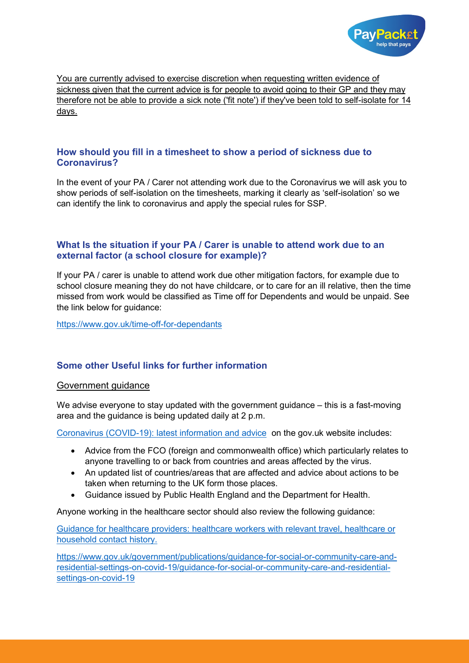

You are currently advised to exercise discretion when requesting written evidence of sickness given that the current advice is for people to avoid going to their GP and they may therefore not be able to provide a sick note ('fit note') if they've been told to self-isolate for 14 days.

### **How should you fill in a timesheet to show a period of sickness due to Coronavirus?**

In the event of your PA / Carer not attending work due to the Coronavirus we will ask you to show periods of self-isolation on the timesheets, marking it clearly as 'self-isolation' so we can identify the link to coronavirus and apply the special rules for SSP.

### **What Is the situation if your PA / Carer is unable to attend work due to an external factor (a school closure for example)?**

If your PA / carer is unable to attend work due other mitigation factors, for example due to school closure meaning they do not have childcare, or to care for an ill relative, then the time missed from work would be classified as Time off for Dependents and would be unpaid. See the link below for guidance:

<https://www.gov.uk/time-off-for-dependants>

# **Some other Useful links for further information**

#### Government guidance

We advise everyone to stay updated with the government guidance – this is a fast-moving area and the guidance is being updated daily at 2 p.m.

[Coronavirus \(COVID-19\): latest information and advice](https://www.gov.uk/guidance/coronavirus-covid-19-information-for-the-public) on the gov.uk website includes:

- Advice from the FCO (foreign and commonwealth office) which particularly relates to anyone travelling to or back from countries and areas affected by the virus.
- An updated list of countries/areas that are affected and advice about actions to be taken when returning to the UK form those places.
- Guidance issued by Public Health England and the Department for Health.

Anyone working in the healthcare sector should also review the following guidance:

[Guidance for healthcare providers: healthcare workers with relevant travel, healthcare or](https://www.gov.uk/government/publications/novel-coronavirus-2019-ncov-guidance-for-healthcare-providers-with-staff-who-have-travelled-to-china/guidance-for-healthcare-providers-healthcare-workers-who-have-travelled-to-china)  [household contact history.](https://www.gov.uk/government/publications/novel-coronavirus-2019-ncov-guidance-for-healthcare-providers-with-staff-who-have-travelled-to-china/guidance-for-healthcare-providers-healthcare-workers-who-have-travelled-to-china)

[https://www.gov.uk/government/publications/guidance-for-social-or-community-care-and](https://www.gov.uk/government/publications/guidance-for-social-or-community-care-and-residential-settings-on-covid-19/guidance-for-social-or-community-care-and-residential-settings-on-covid-19)[residential-settings-on-covid-19/guidance-for-social-or-community-care-and-residential](https://www.gov.uk/government/publications/guidance-for-social-or-community-care-and-residential-settings-on-covid-19/guidance-for-social-or-community-care-and-residential-settings-on-covid-19)[settings-on-covid-19](https://www.gov.uk/government/publications/guidance-for-social-or-community-care-and-residential-settings-on-covid-19/guidance-for-social-or-community-care-and-residential-settings-on-covid-19)